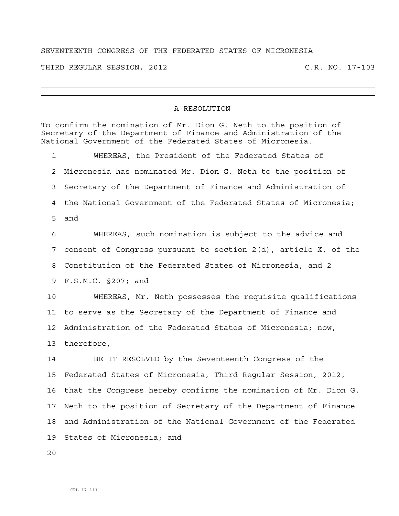## SEVENTEENTH CONGRESS OF THE FEDERATED STATES OF MICRONESIA

THIRD REGULAR SESSION, 2012 C.R. NO. 17-103

## A RESOLUTION

To confirm the nomination of Mr. Dion G. Neth to the position of Secretary of the Department of Finance and Administration of the National Government of the Federated States of Micronesia.

1 WHEREAS, the President of the Federated States of 2 Micronesia has nominated Mr. Dion G. Neth to the position of 3 Secretary of the Department of Finance and Administration of 4 the National Government of the Federated States of Micronesia; 5 and

6 WHEREAS, such nomination is subject to the advice and 7 consent of Congress pursuant to section 2(d), article X, of the 8 Constitution of the Federated States of Micronesia, and 2 9 F.S.M.C. §207; and

10 WHEREAS, Mr. Neth possesses the requisite qualifications 11 to serve as the Secretary of the Department of Finance and 12 Administration of the Federated States of Micronesia; now, 13 therefore,

14 BE IT RESOLVED by the Seventeenth Congress of the 15 Federated States of Micronesia, Third Regular Session, 2012, 16 that the Congress hereby confirms the nomination of Mr. Dion G. 17 Neth to the position of Secretary of the Department of Finance 18 and Administration of the National Government of the Federated 19 States of Micronesia; and

 $2.0$